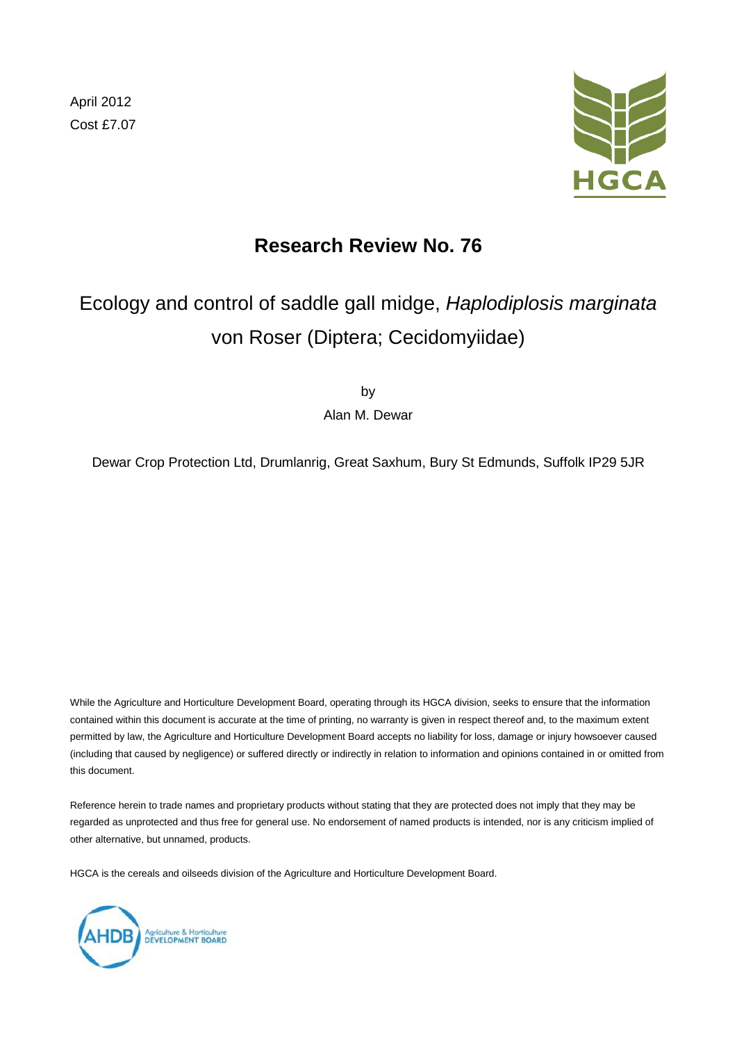April 2012 Cost £7.07



# **Research Review No. 76**

# Ecology and control of saddle gall midge, *Haplodiplosis marginata* von Roser (Diptera; Cecidomyiidae)

by

Alan M. Dewar

Dewar Crop Protection Ltd, Drumlanrig, Great Saxhum, Bury St Edmunds, Suffolk IP29 5JR

While the Agriculture and Horticulture Development Board, operating through its HGCA division, seeks to ensure that the information contained within this document is accurate at the time of printing, no warranty is given in respect thereof and, to the maximum extent permitted by law, the Agriculture and Horticulture Development Board accepts no liability for loss, damage or injury howsoever caused (including that caused by negligence) or suffered directly or indirectly in relation to information and opinions contained in or omitted from this document.

Reference herein to trade names and proprietary products without stating that they are protected does not imply that they may be regarded as unprotected and thus free for general use. No endorsement of named products is intended, nor is any criticism implied of other alternative, but unnamed, products.

HGCA is the cereals and oilseeds division of the Agriculture and Horticulture Development Board.

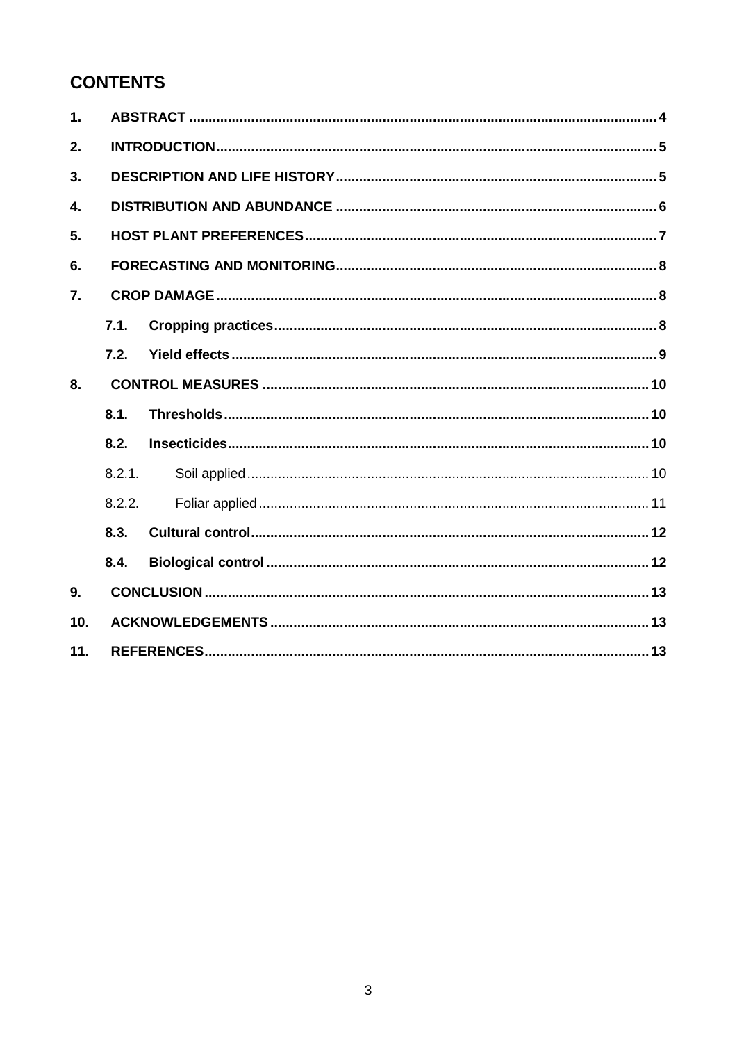# **CONTENTS**

| $\mathbf{1}$ . |        |  |  |  |  |  |
|----------------|--------|--|--|--|--|--|
| 2.             |        |  |  |  |  |  |
| 3.             |        |  |  |  |  |  |
| $\mathbf{4}$   |        |  |  |  |  |  |
| 5.             |        |  |  |  |  |  |
| 6.             |        |  |  |  |  |  |
| 7.             |        |  |  |  |  |  |
|                | 7.1.   |  |  |  |  |  |
|                | 7.2.   |  |  |  |  |  |
| 8.             |        |  |  |  |  |  |
|                | 8.1.   |  |  |  |  |  |
|                | 8.2.   |  |  |  |  |  |
|                | 8.2.1. |  |  |  |  |  |
|                | 8.2.2. |  |  |  |  |  |
|                | 8.3.   |  |  |  |  |  |
|                | 8.4.   |  |  |  |  |  |
| 9.             |        |  |  |  |  |  |
| 10.            |        |  |  |  |  |  |
| 11.            |        |  |  |  |  |  |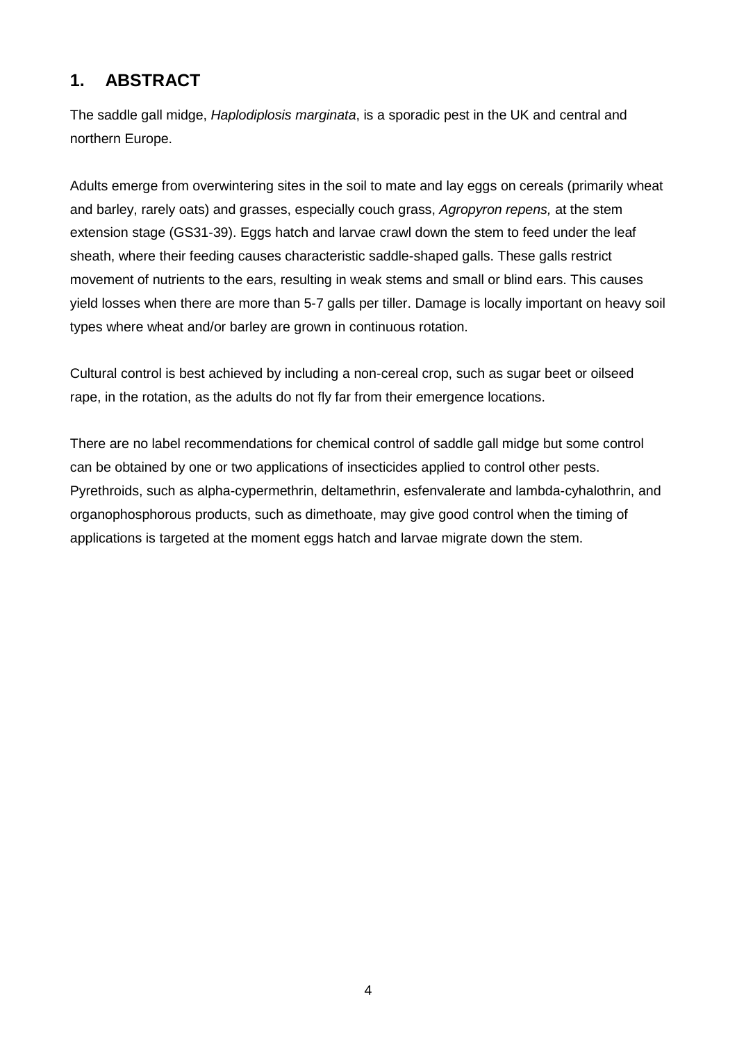# **1. ABSTRACT**

The saddle gall midge, *Haplodiplosis marginata*, is a sporadic pest in the UK and central and northern Europe.

Adults emerge from overwintering sites in the soil to mate and lay eggs on cereals (primarily wheat and barley, rarely oats) and grasses, especially couch grass, *Agropyron repens,* at the stem extension stage (GS31-39). Eggs hatch and larvae crawl down the stem to feed under the leaf sheath, where their feeding causes characteristic saddle-shaped galls. These galls restrict movement of nutrients to the ears, resulting in weak stems and small or blind ears. This causes yield losses when there are more than 5-7 galls per tiller. Damage is locally important on heavy soil types where wheat and/or barley are grown in continuous rotation.

Cultural control is best achieved by including a non-cereal crop, such as sugar beet or oilseed rape, in the rotation, as the adults do not fly far from their emergence locations.

There are no label recommendations for chemical control of saddle gall midge but some control can be obtained by one or two applications of insecticides applied to control other pests. Pyrethroids, such as alpha-cypermethrin, deltamethrin, esfenvalerate and lambda-cyhalothrin, and organophosphorous products, such as dimethoate, may give good control when the timing of applications is targeted at the moment eggs hatch and larvae migrate down the stem.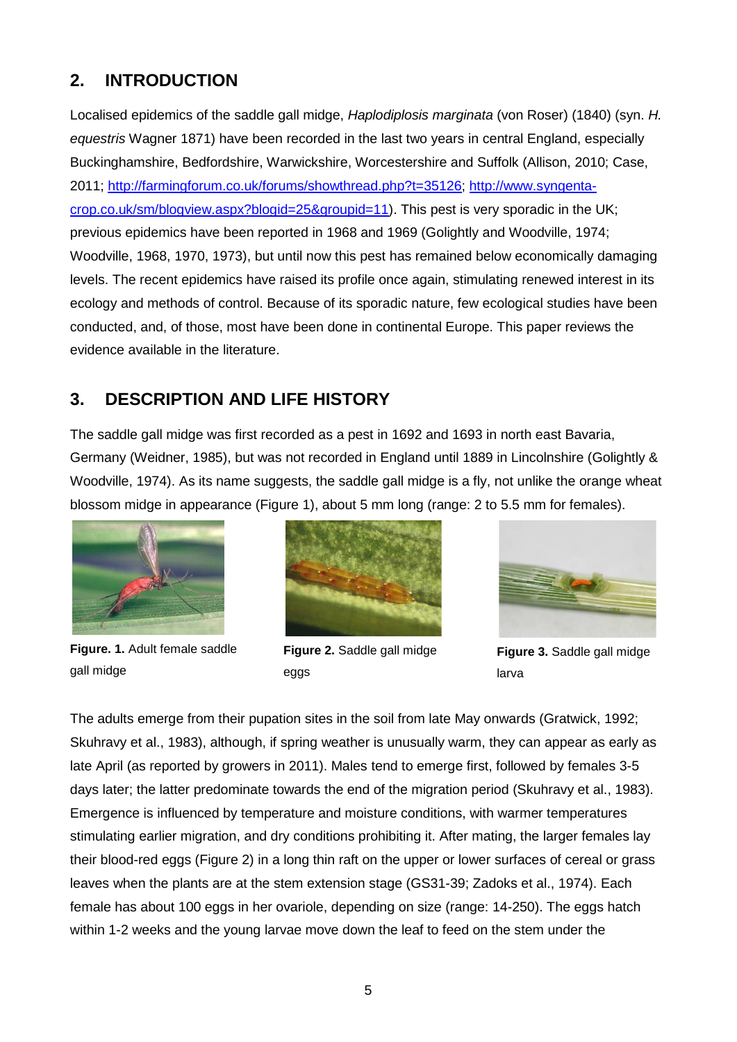## **2. INTRODUCTION**

Localised epidemics of the saddle gall midge, *Haplodiplosis marginata* (von Roser) (1840) (syn. *H. equestris* Wagner 1871) have been recorded in the last two years in central England, especially Buckinghamshire, Bedfordshire, Warwickshire, Worcestershire and Suffolk (Allison, 2010; Case, 2011; [http://farmingforum.co.uk/forums/showthread.php?t=35126;](http://farmingforum.co.uk/forums/showthread.php?t=35126) [http://www.syngenta](http://www.syngenta-crop.co.uk/sm/blogview.aspx?blogid=25&groupid=11)[crop.co.uk/sm/blogview.aspx?blogid=25&groupid=11\)](http://www.syngenta-crop.co.uk/sm/blogview.aspx?blogid=25&groupid=11). This pest is very sporadic in the UK; previous epidemics have been reported in 1968 and 1969 (Golightly and Woodville, 1974; Woodville, 1968, 1970, 1973), but until now this pest has remained below economically damaging levels. The recent epidemics have raised its profile once again, stimulating renewed interest in its ecology and methods of control. Because of its sporadic nature, few ecological studies have been conducted, and, of those, most have been done in continental Europe. This paper reviews the evidence available in the literature.

## **3. DESCRIPTION AND LIFE HISTORY**

The saddle gall midge was first recorded as a pest in 1692 and 1693 in north east Bavaria, Germany (Weidner, 1985), but was not recorded in England until 1889 in Lincolnshire (Golightly & Woodville, 1974). As its name suggests, the saddle gall midge is a fly, not unlike the orange wheat blossom midge in appearance (Figure 1), about 5 mm long (range: 2 to 5.5 mm for females).



**Figure. 1.** Adult female saddle gall midge



**Figure 2.** Saddle gall midge eggs



**Figure 3.** Saddle gall midge larva

The adults emerge from their pupation sites in the soil from late May onwards (Gratwick, 1992; Skuhravy et al., 1983), although, if spring weather is unusually warm, they can appear as early as late April (as reported by growers in 2011). Males tend to emerge first, followed by females 3-5 days later; the latter predominate towards the end of the migration period (Skuhravy et al., 1983). Emergence is influenced by temperature and moisture conditions, with warmer temperatures stimulating earlier migration, and dry conditions prohibiting it. After mating, the larger females lay their blood-red eggs (Figure 2) in a long thin raft on the upper or lower surfaces of cereal or grass leaves when the plants are at the stem extension stage (GS31-39; Zadoks et al., 1974). Each female has about 100 eggs in her ovariole, depending on size (range: 14-250). The eggs hatch within 1-2 weeks and the young larvae move down the leaf to feed on the stem under the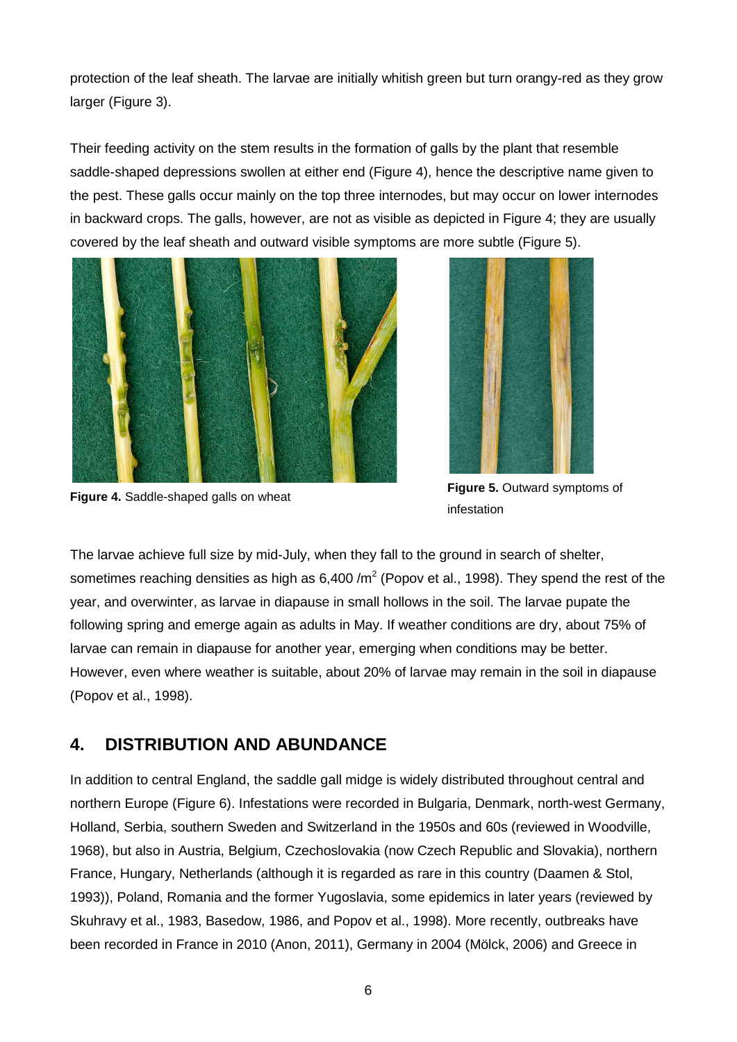protection of the leaf sheath. The larvae are initially whitish green but turn orangy-red as they grow larger (Figure 3).

Their feeding activity on the stem results in the formation of galls by the plant that resemble saddle-shaped depressions swollen at either end (Figure 4), hence the descriptive name given to the pest. These galls occur mainly on the top three internodes, but may occur on lower internodes in backward crops. The galls, however, are not as visible as depicted in Figure 4; they are usually covered by the leaf sheath and outward visible symptoms are more subtle (Figure 5).





**Figure 4.** Saddle-shaped galls on wheat **Figure 5.** Outward symptoms of infestation

The larvae achieve full size by mid-July, when they fall to the ground in search of shelter, sometimes reaching densities as high as  $6,400/m^2$  (Popov et al., 1998). They spend the rest of the year, and overwinter, as larvae in diapause in small hollows in the soil. The larvae pupate the following spring and emerge again as adults in May. If weather conditions are dry, about 75% of larvae can remain in diapause for another year, emerging when conditions may be better. However, even where weather is suitable, about 20% of larvae may remain in the soil in diapause (Popov et al., 1998).

## **4. DISTRIBUTION AND ABUNDANCE**

In addition to central England, the saddle gall midge is widely distributed throughout central and northern Europe (Figure 6). Infestations were recorded in Bulgaria, Denmark, north-west Germany, Holland, Serbia, southern Sweden and Switzerland in the 1950s and 60s (reviewed in Woodville, 1968), but also in Austria, Belgium, Czechoslovakia (now Czech Republic and Slovakia), northern France, Hungary, Netherlands (although it is regarded as rare in this country (Daamen & Stol, 1993)), Poland, Romania and the former Yugoslavia, some epidemics in later years (reviewed by Skuhravy et al., 1983, Basedow, 1986, and Popov et al., 1998). More recently, outbreaks have been recorded in France in 2010 (Anon, 2011), Germany in 2004 (Mölck, 2006) and Greece in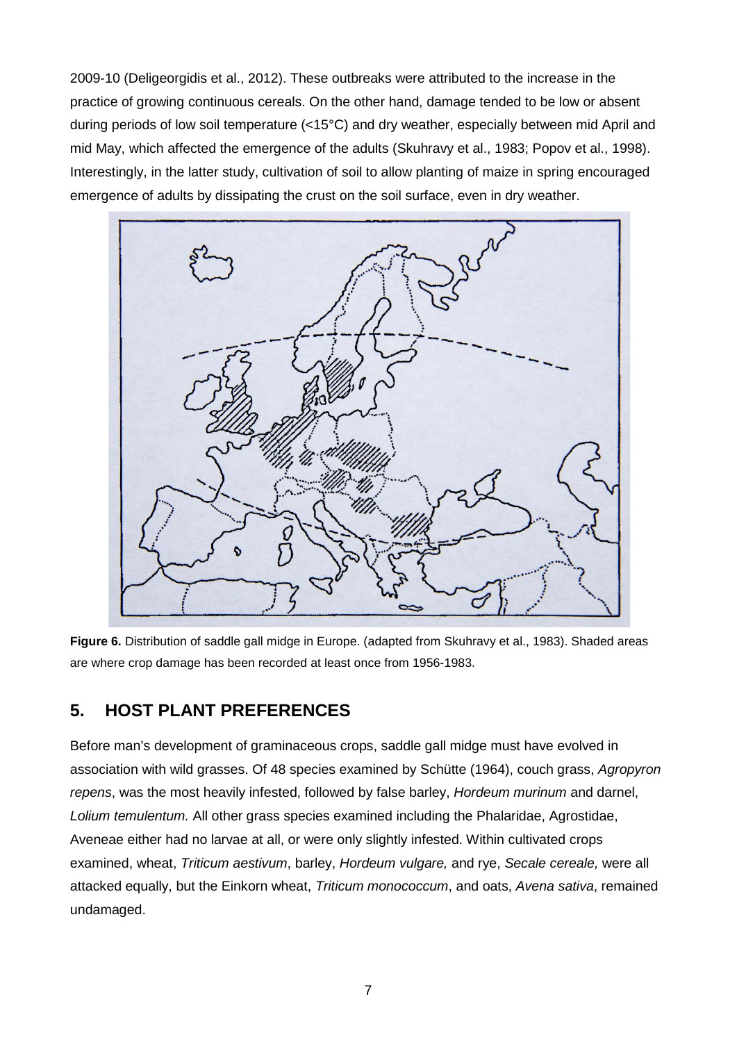2009-10 (Deligeorgidis et al., 2012). These outbreaks were attributed to the increase in the practice of growing continuous cereals. On the other hand, damage tended to be low or absent during periods of low soil temperature (<15°C) and dry weather, especially between mid April and mid May, which affected the emergence of the adults (Skuhravy et al., 1983; Popov et al., 1998). Interestingly, in the latter study, cultivation of soil to allow planting of maize in spring encouraged emergence of adults by dissipating the crust on the soil surface, even in dry weather.



**Figure 6.** Distribution of saddle gall midge in Europe. (adapted from Skuhravy et al., 1983). Shaded areas are where crop damage has been recorded at least once from 1956-1983.

## **5. HOST PLANT PREFERENCES**

Before man's development of graminaceous crops, saddle gall midge must have evolved in association with wild grasses. Of 48 species examined by Schütte (1964), couch grass, *Agropyron repens*, was the most heavily infested, followed by false barley, *Hordeum murinum* and darnel, *Lolium temulentum.* All other grass species examined including the Phalaridae, Agrostidae, Aveneae either had no larvae at all, or were only slightly infested. Within cultivated crops examined, wheat, *Triticum aestivum*, barley, *Hordeum vulgare,* and rye, *Secale cereale,* were all attacked equally, but the Einkorn wheat, *Triticum monococcum*, and oats, *Avena sativa*, remained undamaged.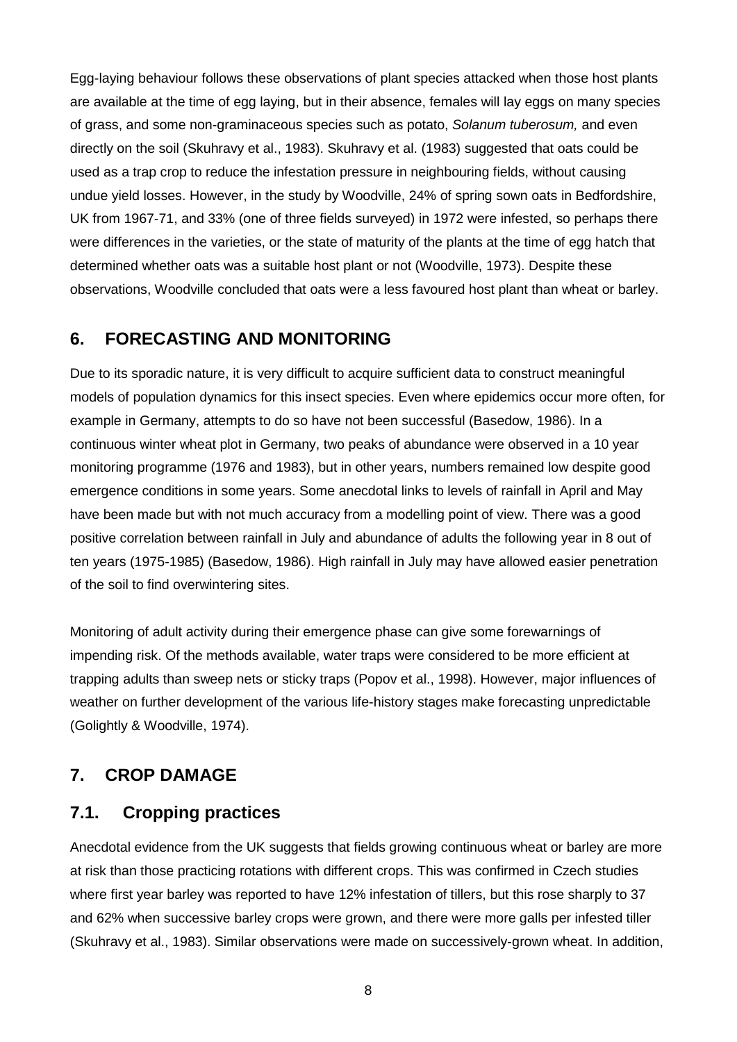Egg-laying behaviour follows these observations of plant species attacked when those host plants are available at the time of egg laying, but in their absence, females will lay eggs on many species of grass, and some non-graminaceous species such as potato, *Solanum tuberosum,* and even directly on the soil (Skuhravy et al., 1983). Skuhravy et al. (1983) suggested that oats could be used as a trap crop to reduce the infestation pressure in neighbouring fields, without causing undue yield losses. However, in the study by Woodville, 24% of spring sown oats in Bedfordshire, UK from 1967-71, and 33% (one of three fields surveyed) in 1972 were infested, so perhaps there were differences in the varieties, or the state of maturity of the plants at the time of egg hatch that determined whether oats was a suitable host plant or not (Woodville, 1973). Despite these observations, Woodville concluded that oats were a less favoured host plant than wheat or barley.

#### **6. FORECASTING AND MONITORING**

Due to its sporadic nature, it is very difficult to acquire sufficient data to construct meaningful models of population dynamics for this insect species. Even where epidemics occur more often, for example in Germany, attempts to do so have not been successful (Basedow, 1986). In a continuous winter wheat plot in Germany, two peaks of abundance were observed in a 10 year monitoring programme (1976 and 1983), but in other years, numbers remained low despite good emergence conditions in some years. Some anecdotal links to levels of rainfall in April and May have been made but with not much accuracy from a modelling point of view. There was a good positive correlation between rainfall in July and abundance of adults the following year in 8 out of ten years (1975-1985) (Basedow, 1986). High rainfall in July may have allowed easier penetration of the soil to find overwintering sites.

Monitoring of adult activity during their emergence phase can give some forewarnings of impending risk. Of the methods available, water traps were considered to be more efficient at trapping adults than sweep nets or sticky traps (Popov et al., 1998). However, major influences of weather on further development of the various life-history stages make forecasting unpredictable (Golightly & Woodville, 1974).

## **7. CROP DAMAGE**

#### **7.1. Cropping practices**

Anecdotal evidence from the UK suggests that fields growing continuous wheat or barley are more at risk than those practicing rotations with different crops. This was confirmed in Czech studies where first year barley was reported to have 12% infestation of tillers, but this rose sharply to 37 and 62% when successive barley crops were grown, and there were more galls per infested tiller (Skuhravy et al., 1983). Similar observations were made on successively-grown wheat. In addition,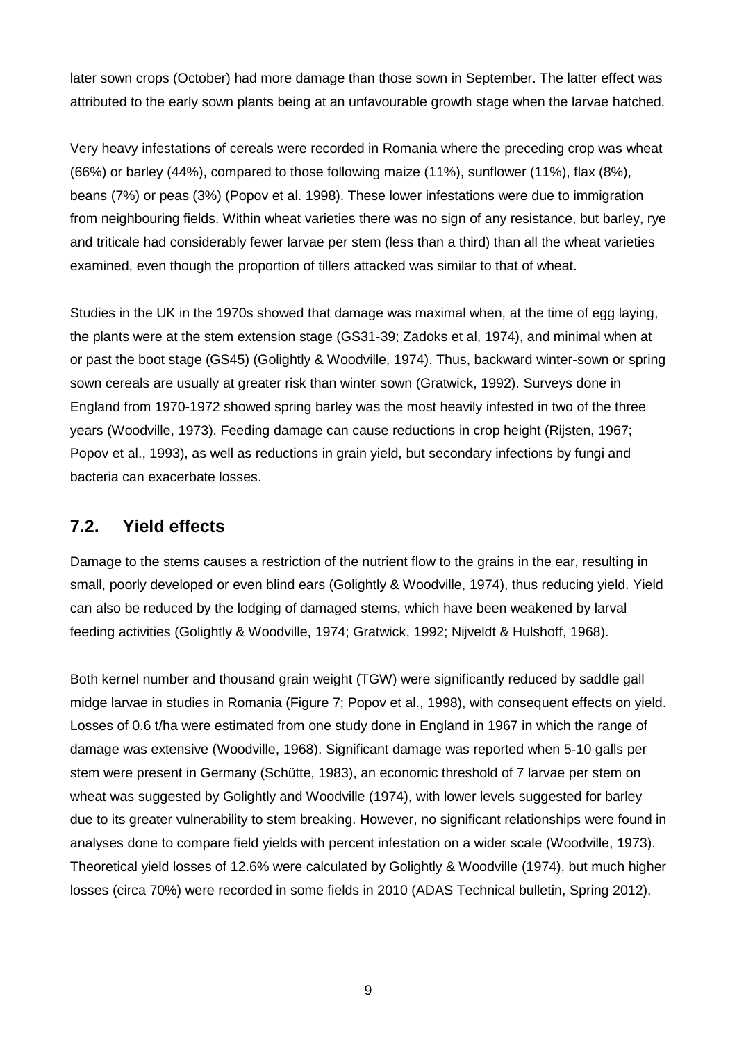later sown crops (October) had more damage than those sown in September. The latter effect was attributed to the early sown plants being at an unfavourable growth stage when the larvae hatched.

Very heavy infestations of cereals were recorded in Romania where the preceding crop was wheat (66%) or barley (44%), compared to those following maize (11%), sunflower (11%), flax (8%), beans (7%) or peas (3%) (Popov et al. 1998). These lower infestations were due to immigration from neighbouring fields. Within wheat varieties there was no sign of any resistance, but barley, rye and triticale had considerably fewer larvae per stem (less than a third) than all the wheat varieties examined, even though the proportion of tillers attacked was similar to that of wheat.

Studies in the UK in the 1970s showed that damage was maximal when, at the time of egg laying, the plants were at the stem extension stage (GS31-39; Zadoks et al, 1974), and minimal when at or past the boot stage (GS45) (Golightly & Woodville, 1974). Thus, backward winter-sown or spring sown cereals are usually at greater risk than winter sown (Gratwick, 1992). Surveys done in England from 1970-1972 showed spring barley was the most heavily infested in two of the three years (Woodville, 1973). Feeding damage can cause reductions in crop height (Rijsten, 1967; Popov et al., 1993), as well as reductions in grain yield, but secondary infections by fungi and bacteria can exacerbate losses.

## **7.2. Yield effects**

Damage to the stems causes a restriction of the nutrient flow to the grains in the ear, resulting in small, poorly developed or even blind ears (Golightly & Woodville, 1974), thus reducing yield. Yield can also be reduced by the lodging of damaged stems, which have been weakened by larval feeding activities (Golightly & Woodville, 1974; Gratwick, 1992; Nijveldt & Hulshoff, 1968).

Both kernel number and thousand grain weight (TGW) were significantly reduced by saddle gall midge larvae in studies in Romania (Figure 7; Popov et al., 1998), with consequent effects on yield. Losses of 0.6 t/ha were estimated from one study done in England in 1967 in which the range of damage was extensive (Woodville, 1968). Significant damage was reported when 5-10 galls per stem were present in Germany (Schütte, 1983), an economic threshold of 7 larvae per stem on wheat was suggested by Golightly and Woodville (1974), with lower levels suggested for barley due to its greater vulnerability to stem breaking. However, no significant relationships were found in analyses done to compare field yields with percent infestation on a wider scale (Woodville, 1973). Theoretical yield losses of 12.6% were calculated by Golightly & Woodville (1974), but much higher losses (circa 70%) were recorded in some fields in 2010 (ADAS Technical bulletin, Spring 2012).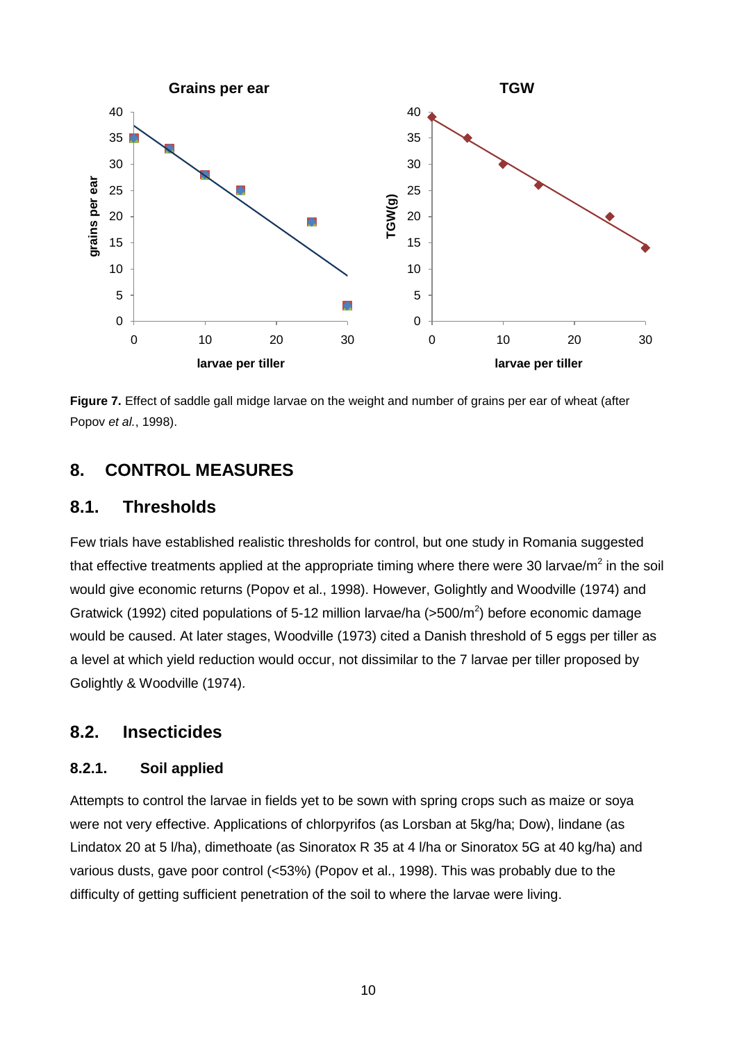

**Figure 7.** Effect of saddle gall midge larvae on the weight and number of grains per ear of wheat (after Popov *et al.*, 1998).

#### **8. CONTROL MEASURES**

#### **8.1. Thresholds**

Few trials have established realistic thresholds for control, but one study in Romania suggested that effective treatments applied at the appropriate timing where there were 30 larvae/ $m^2$  in the soil would give economic returns (Popov et al., 1998). However, Golightly and Woodville (1974) and Gratwick (1992) cited populations of 5-12 million larvae/ha ( $>500/m^2$ ) before economic damage would be caused. At later stages, Woodville (1973) cited a Danish threshold of 5 eggs per tiller as a level at which yield reduction would occur, not dissimilar to the 7 larvae per tiller proposed by Golightly & Woodville (1974).

#### **8.2. Insecticides**

#### **8.2.1. Soil applied**

Attempts to control the larvae in fields yet to be sown with spring crops such as maize or soya were not very effective. Applications of chlorpyrifos (as Lorsban at 5kg/ha; Dow), lindane (as Lindatox 20 at 5 l/ha), dimethoate (as Sinoratox R 35 at 4 l/ha or Sinoratox 5G at 40 kg/ha) and various dusts, gave poor control (<53%) (Popov et al., 1998). This was probably due to the difficulty of getting sufficient penetration of the soil to where the larvae were living.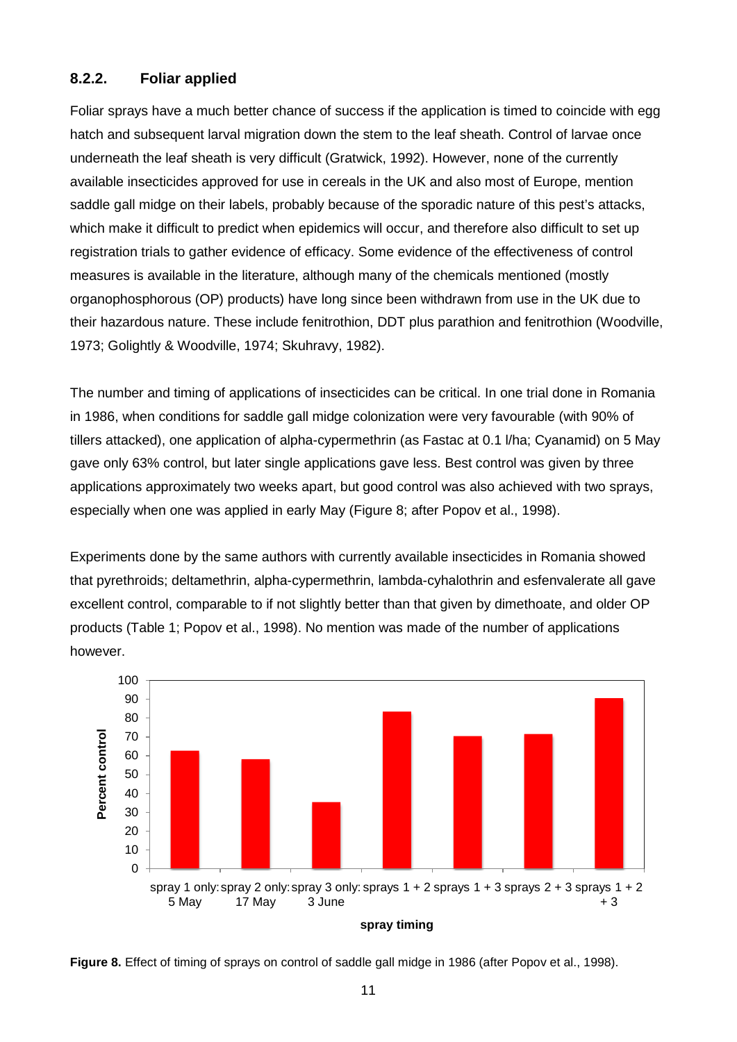#### **8.2.2. Foliar applied**

Foliar sprays have a much better chance of success if the application is timed to coincide with egg hatch and subsequent larval migration down the stem to the leaf sheath. Control of larvae once underneath the leaf sheath is very difficult (Gratwick, 1992). However, none of the currently available insecticides approved for use in cereals in the UK and also most of Europe, mention saddle gall midge on their labels, probably because of the sporadic nature of this pest's attacks, which make it difficult to predict when epidemics will occur, and therefore also difficult to set up registration trials to gather evidence of efficacy. Some evidence of the effectiveness of control measures is available in the literature, although many of the chemicals mentioned (mostly organophosphorous (OP) products) have long since been withdrawn from use in the UK due to their hazardous nature. These include fenitrothion, DDT plus parathion and fenitrothion (Woodville, 1973; Golightly & Woodville, 1974; Skuhravy, 1982).

The number and timing of applications of insecticides can be critical. In one trial done in Romania in 1986, when conditions for saddle gall midge colonization were very favourable (with 90% of tillers attacked), one application of alpha-cypermethrin (as Fastac at 0.1 l/ha; Cyanamid) on 5 May gave only 63% control, but later single applications gave less. Best control was given by three applications approximately two weeks apart, but good control was also achieved with two sprays, especially when one was applied in early May (Figure 8; after Popov et al., 1998).

Experiments done by the same authors with currently available insecticides in Romania showed that pyrethroids; deltamethrin, alpha-cypermethrin, lambda-cyhalothrin and esfenvalerate all gave excellent control, comparable to if not slightly better than that given by dimethoate, and older OP products (Table 1; Popov et al., 1998). No mention was made of the number of applications however.



**Figure 8.** Effect of timing of sprays on control of saddle gall midge in 1986 (after Popov et al., 1998).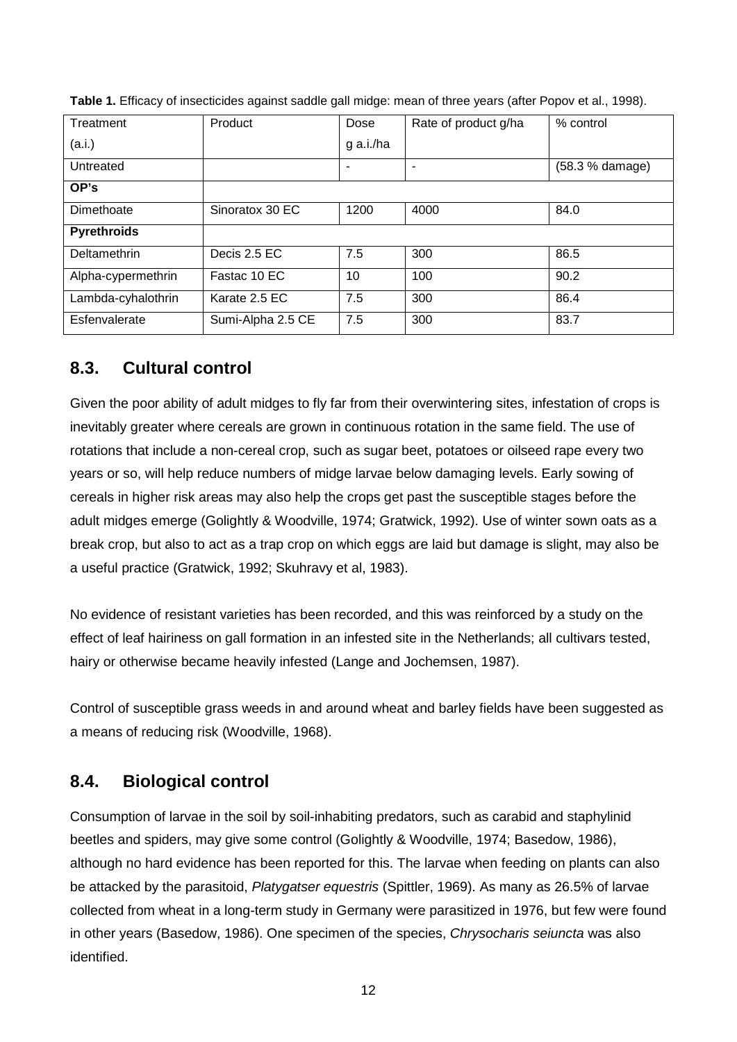| Treatment          | Product           | Dose      | Rate of product g/ha | % control       |
|--------------------|-------------------|-----------|----------------------|-----------------|
| (a.i.)             |                   | g a.i./ha |                      |                 |
| Untreated          |                   | ۰         | ۰                    | (58.3 % damage) |
| OP's               |                   |           |                      |                 |
| Dimethoate         | Sinoratox 30 EC   | 1200      | 4000                 | 84.0            |
| <b>Pyrethroids</b> |                   |           |                      |                 |
| Deltamethrin       | Decis 2.5 EC      | 7.5       | 300                  | 86.5            |
| Alpha-cypermethrin | Fastac 10 EC      | 10        | 100                  | 90.2            |
| Lambda-cyhalothrin | Karate 2.5 EC     | 7.5       | 300                  | 86.4            |
| Esfenvalerate      | Sumi-Alpha 2.5 CE | 7.5       | 300                  | 83.7            |

**Table 1.** Efficacy of insecticides against saddle gall midge: mean of three years (after Popov et al., 1998).

## **8.3. Cultural control**

Given the poor ability of adult midges to fly far from their overwintering sites, infestation of crops is inevitably greater where cereals are grown in continuous rotation in the same field. The use of rotations that include a non-cereal crop, such as sugar beet, potatoes or oilseed rape every two years or so, will help reduce numbers of midge larvae below damaging levels. Early sowing of cereals in higher risk areas may also help the crops get past the susceptible stages before the adult midges emerge (Golightly & Woodville, 1974; Gratwick, 1992). Use of winter sown oats as a break crop, but also to act as a trap crop on which eggs are laid but damage is slight, may also be a useful practice (Gratwick, 1992; Skuhravy et al, 1983).

No evidence of resistant varieties has been recorded, and this was reinforced by a study on the effect of leaf hairiness on gall formation in an infested site in the Netherlands; all cultivars tested, hairy or otherwise became heavily infested (Lange and Jochemsen, 1987).

Control of susceptible grass weeds in and around wheat and barley fields have been suggested as a means of reducing risk (Woodville, 1968).

## **8.4. Biological control**

Consumption of larvae in the soil by soil-inhabiting predators, such as carabid and staphylinid beetles and spiders, may give some control (Golightly & Woodville, 1974; Basedow, 1986), although no hard evidence has been reported for this. The larvae when feeding on plants can also be attacked by the parasitoid, *Platygatser equestris* (Spittler, 1969). As many as 26.5% of larvae collected from wheat in a long-term study in Germany were parasitized in 1976, but few were found in other years (Basedow, 1986). One specimen of the species, *Chrysocharis seiuncta* was also identified.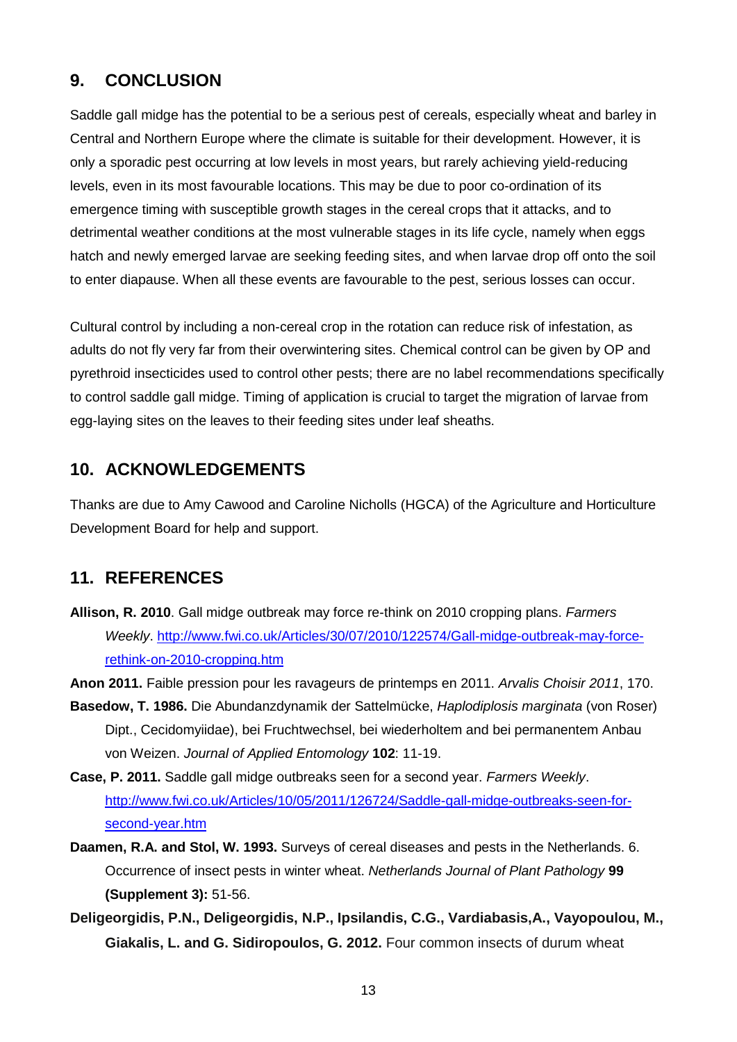## **9. CONCLUSION**

Saddle gall midge has the potential to be a serious pest of cereals, especially wheat and barley in Central and Northern Europe where the climate is suitable for their development. However, it is only a sporadic pest occurring at low levels in most years, but rarely achieving yield-reducing levels, even in its most favourable locations. This may be due to poor co-ordination of its emergence timing with susceptible growth stages in the cereal crops that it attacks, and to detrimental weather conditions at the most vulnerable stages in its life cycle, namely when eggs hatch and newly emerged larvae are seeking feeding sites, and when larvae drop off onto the soil to enter diapause. When all these events are favourable to the pest, serious losses can occur.

Cultural control by including a non-cereal crop in the rotation can reduce risk of infestation, as adults do not fly very far from their overwintering sites. Chemical control can be given by OP and pyrethroid insecticides used to control other pests; there are no label recommendations specifically to control saddle gall midge. Timing of application is crucial to target the migration of larvae from egg-laying sites on the leaves to their feeding sites under leaf sheaths.

## **10. ACKNOWLEDGEMENTS**

Thanks are due to Amy Cawood and Caroline Nicholls (HGCA) of the Agriculture and Horticulture Development Board for help and support.

## **11. REFERENCES**

**Allison, R. 2010**. Gall midge outbreak may force re-think on 2010 cropping plans. *Farmers Weekly*. [http://www.fwi.co.uk/Articles/30/07/2010/122574/Gall-midge-outbreak-may-force](http://www.fwi.co.uk/Articles/30/07/2010/122574/Gall-midge-outbreak-may-force-rethink-on-2010-cropping.htm)[rethink-on-2010-cropping.htm](http://www.fwi.co.uk/Articles/30/07/2010/122574/Gall-midge-outbreak-may-force-rethink-on-2010-cropping.htm)

**Anon 2011.** Faible pression pour les ravageurs de printemps en 2011. *Arvalis Choisir 2011*, 170.

- **Basedow, T. 1986.** Die Abundanzdynamik der Sattelmücke, *Haplodiplosis marginata* (von Roser) Dipt., Cecidomyiidae), bei Fruchtwechsel, bei wiederholtem and bei permanentem Anbau von Weizen. *Journal of Applied Entomology* **102**: 11-19.
- **Case, P. 2011.** Saddle gall midge outbreaks seen for a second year. *Farmers Weekly*. [http://www.fwi.co.uk/Articles/10/05/2011/126724/Saddle-gall-midge-outbreaks-seen-for](http://www.fwi.co.uk/Articles/10/05/2011/126724/Saddle-gall-midge-outbreaks-seen-for-second-year.htm)[second-year.htm](http://www.fwi.co.uk/Articles/10/05/2011/126724/Saddle-gall-midge-outbreaks-seen-for-second-year.htm)
- **Daamen, R.A. and Stol, W. 1993.** Surveys of cereal diseases and pests in the Netherlands. 6. Occurrence of insect pests in winter wheat. *Netherlands Journal of Plant Pathology* **99 (Supplement 3):** 51-56.
- **Deligeorgidis, P.N., Deligeorgidis, N.P., Ipsilandis, C.G., Vardiabasis,A., Vayopoulou, M., Giakalis, L. and G. Sidiropoulos, G. 2012.** Four common insects of durum wheat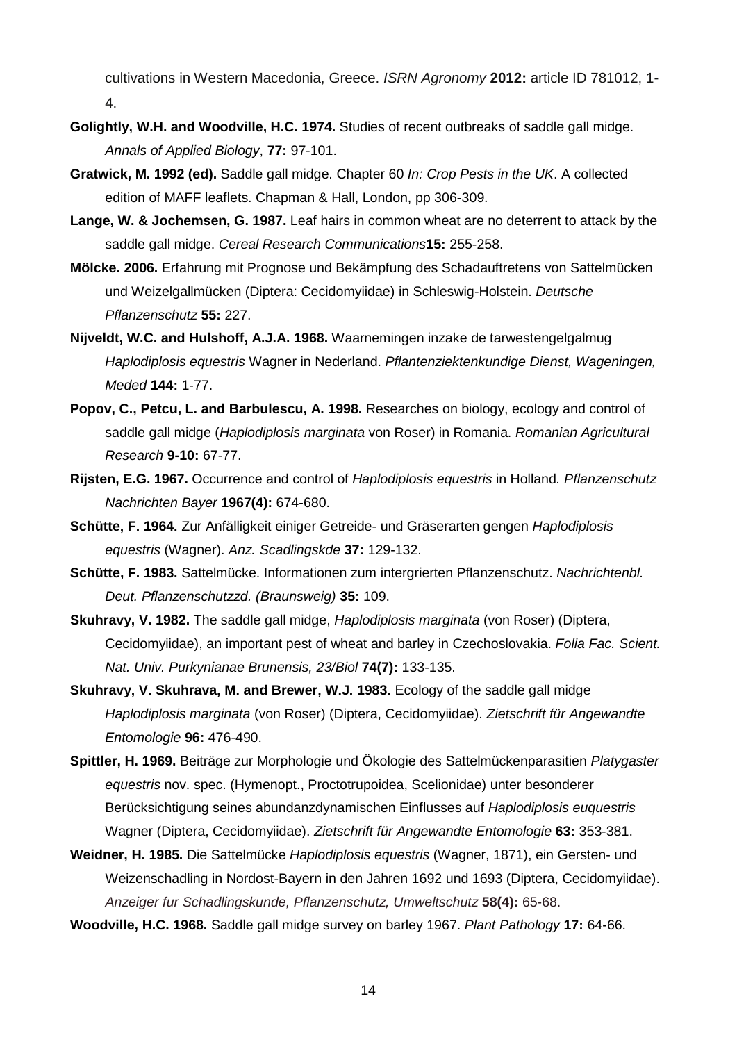cultivations in Western Macedonia, Greece. *ISRN Agronomy* **2012:** article ID 781012, 1- 4.

- **Golightly, W.H. and Woodville, H.C. 1974.** Studies of recent outbreaks of saddle gall midge. *Annals of Applied Biology*, **77:** 97-101.
- **Gratwick, M. 1992 (ed).** Saddle gall midge. Chapter 60 *In: Crop Pests in the UK*. A collected edition of MAFF leaflets. Chapman & Hall, London, pp 306-309.
- **Lange, W. & Jochemsen, G. 1987.** Leaf hairs in common wheat are no deterrent to attack by the saddle gall midge. *Cereal Research Communications***15:** 255-258.
- **Mölcke. 2006.** Erfahrung mit Prognose und Bekämpfung des Schadauftretens von Sattelmücken und Weizelgallmücken (Diptera: Cecidomyiidae) in Schleswig-Holstein. *Deutsche Pflanzenschutz* **55:** 227.
- **Nijveldt, W.C. and Hulshoff, A.J.A. 1968.** Waarnemingen inzake de tarwestengelgalmug *Haplodiplosis equestris* Wagner in Nederland. *Pflantenziektenkundige Dienst, Wageningen, Meded* **144:** 1-77.
- **Popov, C., Petcu, L. and Barbulescu, A. 1998.** Researches on biology, ecology and control of saddle gall midge (*Haplodiplosis marginata* von Roser) in Romania. *Romanian Agricultural Research* **9-10:** 67-77.
- **Rijsten, E.G. 1967.** Occurrence and control of *Haplodiplosis equestris* in Holland*. Pflanzenschutz Nachrichten Bayer* **1967(4):** 674-680.
- **Schütte, F. 1964.** Zur Anfälligkeit einiger Getreide- und Gräserarten gengen *Haplodiplosis equestris* (Wagner). *Anz. Scadlingskde* **37:** 129-132.
- **Schütte, F. 1983.** Sattelmücke. Informationen zum intergrierten Pflanzenschutz. *Nachrichtenbl. Deut. Pflanzenschutzzd. (Braunsweig)* **35:** 109.
- **Skuhravy, V. 1982.** The saddle gall midge, *Haplodiplosis marginata* (von Roser) (Diptera, Cecidomyiidae), an important pest of wheat and barley in Czechoslovakia. *Folia Fac. Scient. Nat. Univ. Purkynianae Brunensis, 23/Biol* **74(7):** 133-135.
- **Skuhravy, V. Skuhrava, M. and Brewer, W.J. 1983.** Ecology of the saddle gall midge *Haplodiplosis marginata* (von Roser) (Diptera, Cecidomyiidae). *Zietschrift für Angewandte Entomologie* **96:** 476-490.
- **Spittler, H. 1969.** Beiträge zur Morphologie und Ökologie des Sattelmückenparasitien *Platygaster equestris* nov. spec. (Hymenopt., Proctotrupoidea, Scelionidae) unter besonderer Berücksichtigung seines abundanzdynamischen Einflusses auf *Haplodiplosis euquestris*  Wagner (Diptera, Cecidomyiidae). *Zietschrift für Angewandte Entomologie* **63:** 353-381.
- **Weidner, H. 1985.** Die Sattelmücke *Haplodiplosis equestris* (Wagner, 1871), ein Gersten- und Weizenschadling in Nordost-Bayern in den Jahren 1692 und 1693 (Diptera, Cecidomyiidae). *Anzeiger fur Schadlingskunde, Pflanzenschutz, Umweltschutz* **58(4):** 65-68.
- **Woodville, H.C. 1968.** Saddle gall midge survey on barley 1967. *Plant Pathology* **17:** 64-66.